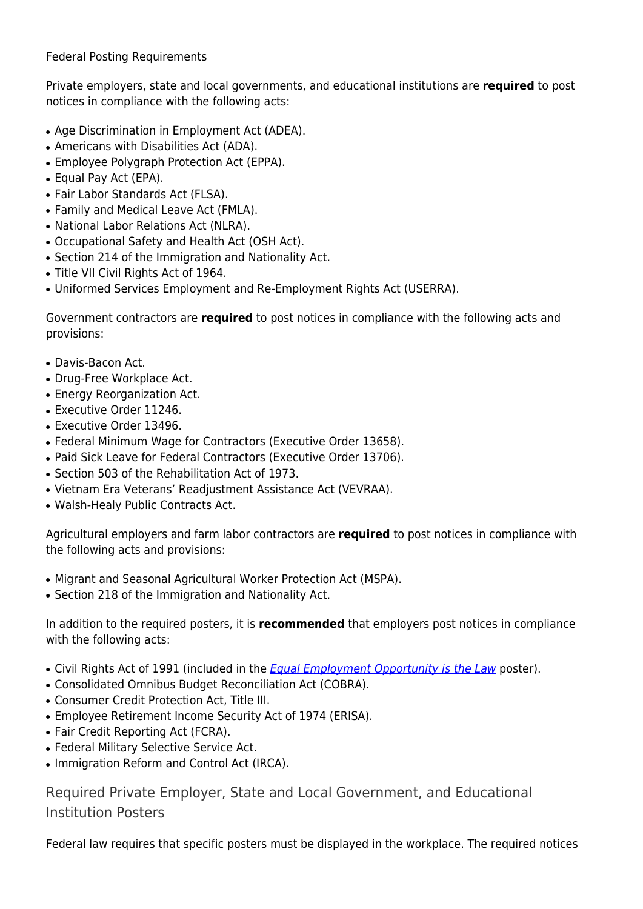Federal Posting Requirements

Private employers, state and local governments, and educational institutions are **required** to post notices in compliance with the following acts:

- Age Discrimination in Employment Act (ADEA).
- Americans with Disabilities Act (ADA).
- Employee Polygraph Protection Act (EPPA).
- Equal Pay Act (EPA).
- Fair Labor Standards Act (FLSA).
- Family and Medical Leave Act (FMLA).
- National Labor Relations Act (NLRA).
- Occupational Safety and Health Act (OSH Act).
- Section 214 of the Immigration and Nationality Act.
- Title VII Civil Rights Act of 1964.
- Uniformed Services Employment and Re-Employment Rights Act (USERRA).

Government contractors are **required** to post notices in compliance with the following acts and provisions:

- Davis-Bacon Act.
- Drug-Free Workplace Act.
- Energy Reorganization Act.
- Executive Order 11246.
- Executive Order 13496.
- Federal Minimum Wage for Contractors (Executive Order 13658).
- Paid Sick Leave for Federal Contractors (Executive Order 13706).
- Section 503 of the Rehabilitation Act of 1973.
- Vietnam Era Veterans' Readjustment Assistance Act (VEVRAA).
- Walsh-Healy Public Contracts Act.

Agricultural employers and farm labor contractors are **required** to post notices in compliance with the following acts and provisions:

- Migrant and Seasonal Agricultural Worker Protection Act (MSPA).
- Section 218 of the Immigration and Nationality Act.

In addition to the required posters, it is **recommended** that employers post notices in compliance with the following acts:

- Civil Rights Act of 1991 (included in the *[Equal Employment Opportunity is the Law](https://www.eeoc.gov/employers/eeo-law-poster)* poster).
- Consolidated Omnibus Budget Reconciliation Act (COBRA).
- Consumer Credit Protection Act, Title III.
- Employee Retirement Income Security Act of 1974 (ERISA).
- Fair Credit Reporting Act (FCRA).
- Federal Military Selective Service Act.
- Immigration Reform and Control Act (IRCA).

Required Private Employer, State and Local Government, and Educational Institution Posters

Federal law requires that specific posters must be displayed in the workplace. The required notices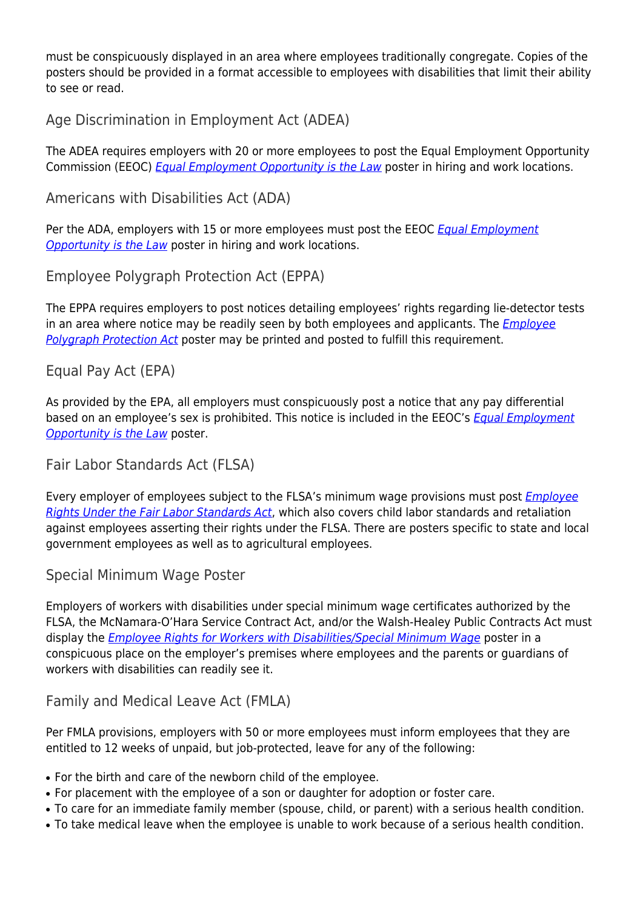must be conspicuously displayed in an area where employees traditionally congregate. Copies of the posters should be provided in a format accessible to employees with disabilities that limit their ability to see or read.

## Age Discrimination in Employment Act (ADEA)

The ADEA requires employers with 20 or more employees to post the Equal Employment Opportunity Commission (EEOC) **[Equal Employment Opportunity is the Law](https://www.eeoc.gov/employers/eeo-law-poster) poster in hiring and work locations.** 

### Americans with Disabilities Act (ADA)

Per the ADA, employers with 15 or more employees must post the EEOC *[Equal Employment](https://www.eeoc.gov/employers/eeo-law-poster)* [Opportunity is the Law](https://www.eeoc.gov/employers/eeo-law-poster) poster in hiring and work locations.

Employee Polygraph Protection Act (EPPA)

The EPPA requires employers to post notices detailing employees' rights regarding lie-detector tests in an area where notice may be readily seen by both employees and applicants. The *[Employee](https://www.dol.gov/whd/regs/compliance/posters/eppa.htm)* [Polygraph Protection Act](https://www.dol.gov/whd/regs/compliance/posters/eppa.htm) poster may be printed and posted to fulfill this requirement.

#### Equal Pay Act (EPA)

As provided by the EPA, all employers must conspicuously post a notice that any pay differential based on an employee's sex is prohibited. This notice is included in the EEOC's *[Equal Employment](https://www.eeoc.gov/employers/eeo-law-poster)* [Opportunity is the Law](https://www.eeoc.gov/employers/eeo-law-poster) poster.

#### Fair Labor Standards Act (FLSA)

Every employer of employees subject to the FLSA's minimum wage provisions must post *[Employee](https://www.dol.gov/whd/regs/compliance/posters/flsa.htm)* [Rights Under the Fair Labor Standards Act](https://www.dol.gov/whd/regs/compliance/posters/flsa.htm), which also covers child labor standards and retaliation against employees asserting their rights under the FLSA. There are posters specific to state and local government employees as well as to agricultural employees.

#### Special Minimum Wage Poster

Employers of workers with disabilities under special minimum wage certificates authorized by the FLSA, the McNamara-O'Hara Service Contract Act, and/or the Walsh-Healey Public Contracts Act must display the *[Employee Rights for Workers with Disabilities/Special Minimum Wage](https://www.dol.gov/whd/regs/compliance/posters/disab.htm)* poster in a conspicuous place on the employer's premises where employees and the parents or guardians of workers with disabilities can readily see it.

#### Family and Medical Leave Act (FMLA)

Per FMLA provisions, employers with 50 or more employees must inform employees that they are entitled to 12 weeks of unpaid, but job-protected, leave for any of the following:

- For the birth and care of the newborn child of the employee.
- For placement with the employee of a son or daughter for adoption or foster care.
- To care for an immediate family member (spouse, child, or parent) with a serious health condition.
- To take medical leave when the employee is unable to work because of a serious health condition.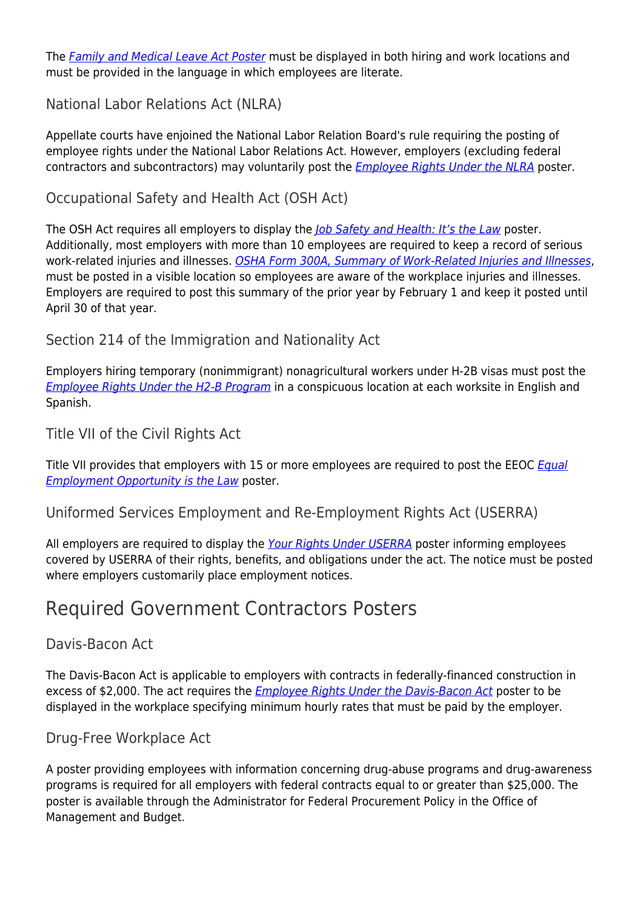The [Family and Medical Leave Act Poster](https://www.dol.gov/whd/fmla/posters.htm) must be displayed in both hiring and work locations and must be provided in the language in which employees are literate.

## National Labor Relations Act (NLRA)

Appellate courts have enjoined the National Labor Relation Board's rule requiring the posting of employee rights under the National Labor Relations Act. However, employers (excluding federal contractors and subcontractors) may voluntarily post the **[Employee Rights Under the NLRA](https://www.nlrb.gov/news-publications/publications/employee-rights-poster)** poster.

## Occupational Safety and Health Act (OSH Act)

The OSH Act requires all employers to display the *[Job Safety and Health: It's the Law](https://www.osha.gov/Publications/poster.html)* poster. Additionally, most employers with more than 10 employees are required to keep a record of serious work-related injuries and illnesses. [OSHA Form 300A, Summary of Work-Related Injuries and Illnesses](https://www.osha.gov/recordkeeping/), must be posted in a visible location so employees are aware of the workplace injuries and illnesses. Employers are required to post this summary of the prior year by February 1 and keep it posted until April 30 of that year.

### Section 214 of the Immigration and Nationality Act

Employers hiring temporary (nonimmigrant) nonagricultural workers under H-2B visas must post the [Employee Rights Under the H2-B Program](https://www.dol.gov/agencies/whd/immigration/h2b) in a conspicuous location at each worksite in English and Spanish.

### Title VII of the Civil Rights Act

Title VII provides that employers with 15 or more employees are required to post the EEOC [Equal](https://www.eeoc.gov/employers/eeo-law-poster) **[Employment Opportunity is the Law](https://www.eeoc.gov/employers/eeo-law-poster) poster.** 

### Uniformed Services Employment and Re-Employment Rights Act (USERRA)

All employers are required to display the [Your Rights Under USERRA](https://www.dol.gov/agencies/vets/programs/userra/poster) poster informing employees covered by USERRA of their rights, benefits, and obligations under the act. The notice must be posted where employers customarily place employment notices.

## Required Government Contractors Posters

### Davis-Bacon Act

The Davis-Bacon Act is applicable to employers with contracts in federally-financed construction in excess of \$2,000. The act requires the *[Employee Rights Under the Davis-Bacon Act](https://www.dol.gov/whd/regs/compliance/posters/davis.htm)* poster to be displayed in the workplace specifying minimum hourly rates that must be paid by the employer.

### Drug-Free Workplace Act

A poster providing employees with information concerning drug-abuse programs and drug-awareness programs is required for all employers with federal contracts equal to or greater than \$25,000. The poster is available through the Administrator for Federal Procurement Policy in the Office of Management and Budget.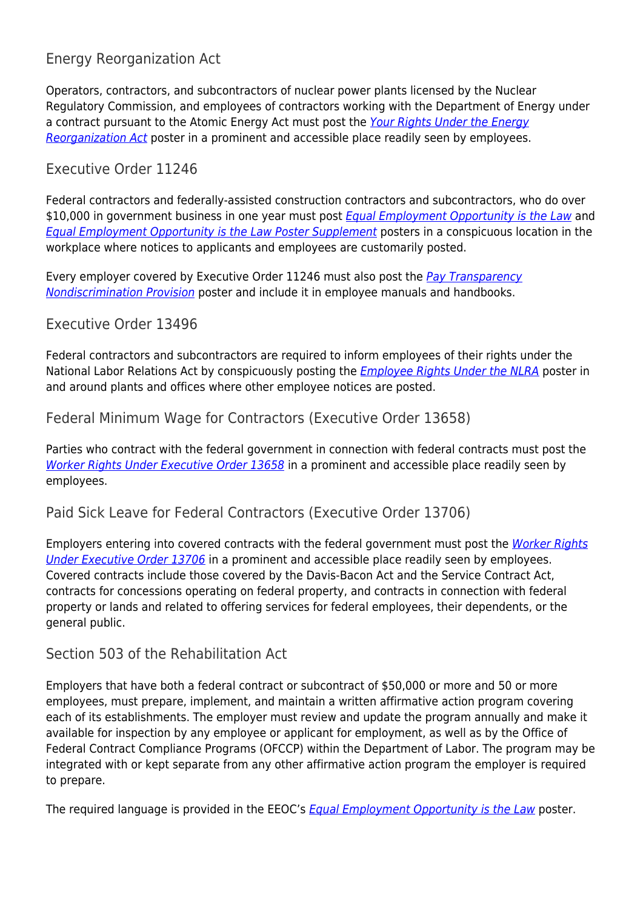## Energy Reorganization Act

Operators, contractors, and subcontractors of nuclear power plants licensed by the Nuclear Regulatory Commission, and employees of contractors working with the Department of Energy under a contract pursuant to the Atomic Energy Act must post the [Your Rights Under the Energy](https://www.osha.gov/laws-regs/regulations/standardnumber/24/24AppA) [Reorganization Act](https://www.osha.gov/laws-regs/regulations/standardnumber/24/24AppA) poster in a prominent and accessible place readily seen by employees.

#### Executive Order 11246

Federal contractors and federally-assisted construction contractors and subcontractors, who do over \$10,000 in government business in one year must post **[Equal Employment Opportunity is the Law](https://webapps.dol.gov/elaws/firststep/poster_direct.htm?p_eeo=1&_ga=2.254803272.199816043.1593441669-1350221618.1580233561)** and [Equal Employment Opportunity is the Law Poster Supplement](https://www.dol.gov/sites/dolgov/files/ofccp/regs/compliance/posters/pdf/OFCCP_EEO_Supplement_Final_JRF_QA_508c.pdf) posters in a conspicuous location in the workplace where notices to applicants and employees are customarily posted.

Every employer covered by Executive Order 11246 must also post the [Pay Transparency](https://www.dol.gov/sites/dolgov/files/OFCCP/pdf/pay-transp_ English_formattedESQA508c.pdf) [Nondiscrimination Provision](https://www.dol.gov/sites/dolgov/files/OFCCP/pdf/pay-transp_ English_formattedESQA508c.pdf) poster and include it in employee manuals and handbooks.

#### Executive Order 13496

Federal contractors and subcontractors are required to inform employees of their rights under the National Labor Relations Act by conspicuously posting the *[Employee Rights Under the NLRA](https://www.nlrb.gov/news-publications/publications/employee-rights-poster)* poster in and around plants and offices where other employee notices are posted.

#### Federal Minimum Wage for Contractors (Executive Order 13658)

Parties who contract with the federal government in connection with federal contracts must post the [Worker Rights Under Executive Order 13658](https://www.dol.gov/sites/dolgov/files/WHD/legacy/files/mw-contractors.pdf) in a prominent and accessible place readily seen by employees.

### Paid Sick Leave for Federal Contractors (Executive Order 13706)

Employers entering into covered contracts with the federal government must post the [Worker Rights](https://www.dol.gov/sites/dolgov/files/WHD/legacy/files/wh1090.pdf) [Under Executive Order 13706](https://www.dol.gov/sites/dolgov/files/WHD/legacy/files/wh1090.pdf) in a prominent and accessible place readily seen by employees. Covered contracts include those covered by the Davis-Bacon Act and the Service Contract Act, contracts for concessions operating on federal property, and contracts in connection with federal property or lands and related to offering services for federal employees, their dependents, or the general public.

### Section 503 of the Rehabilitation Act

Employers that have both a federal contract or subcontract of \$50,000 or more and 50 or more employees, must prepare, implement, and maintain a written affirmative action program covering each of its establishments. The employer must review and update the program annually and make it available for inspection by any employee or applicant for employment, as well as by the Office of Federal Contract Compliance Programs (OFCCP) within the Department of Labor. The program may be integrated with or kept separate from any other affirmative action program the employer is required to prepare.

The required language is provided in the EEOC's **[Equal Employment Opportunity is the Law](https://www.eeoc.gov/employers/eeo-law-poster)** poster.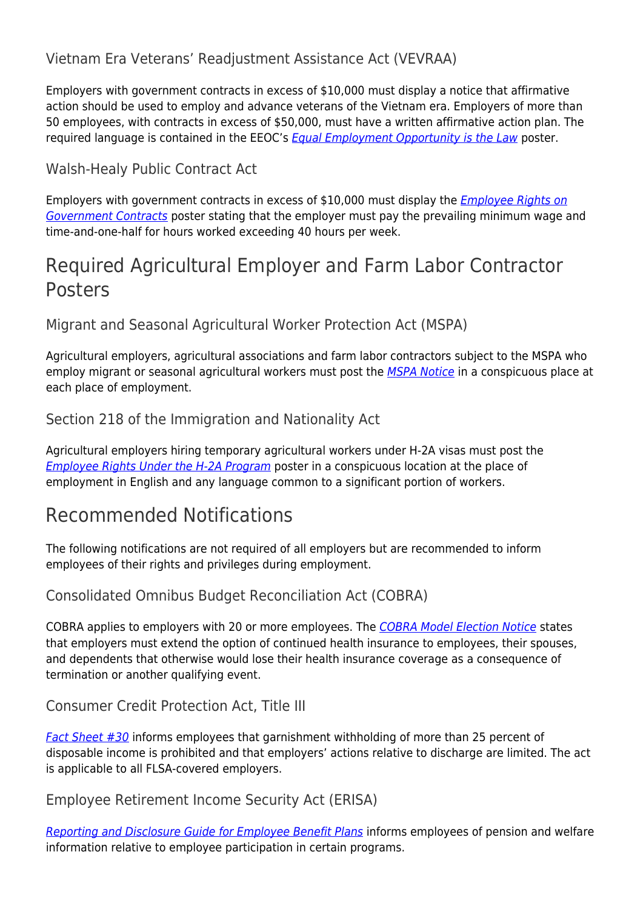Vietnam Era Veterans' Readjustment Assistance Act (VEVRAA)

Employers with government contracts in excess of \$10,000 must display a notice that affirmative action should be used to employ and advance veterans of the Vietnam era. Employers of more than 50 employees, with contracts in excess of \$50,000, must have a written affirmative action plan. The required language is contained in the EEOC's **[Equal Employment Opportunity is the Law](https://www.eeoc.gov/employers/eeo-law-poster)** poster.

Walsh-Healy Public Contract Act

Employers with government contracts in excess of \$10,000 must display the [Employee Rights on](https://www.dol.gov/whd/regs/compliance/posters/sca.htm) [Government Contracts](https://www.dol.gov/whd/regs/compliance/posters/sca.htm) poster stating that the employer must pay the prevailing minimum wage and time-and-one-half for hours worked exceeding 40 hours per week.

# Required Agricultural Employer and Farm Labor Contractor Posters

Migrant and Seasonal Agricultural Worker Protection Act (MSPA)

Agricultural employers, agricultural associations and farm labor contractors subject to the MSPA who employ migrant or seasonal agricultural workers must post the [MSPA Notice](https://webapps.dol.gov/elaws/firststep/poster_direct.htm?p_mspa=1) in a conspicuous place at each place of employment.

Section 218 of the Immigration and Nationality Act

Agricultural employers hiring temporary agricultural workers under H-2A visas must post the **[Employee Rights Under the H-2A Program](https://www.dol.gov/agencies/whd/agriculture/h2a) poster in a conspicuous location at the place of** employment in English and any language common to a significant portion of workers.

## Recommended Notifications

The following notifications are not required of all employers but are recommended to inform employees of their rights and privileges during employment.

Consolidated Omnibus Budget Reconciliation Act (COBRA)

COBRA applies to employers with 20 or more employees. The [COBRA Model Election Notice](https://www.dol.gov/agencies/ebsa/laws-and-regulations/laws/cobra) states that employers must extend the option of continued health insurance to employees, their spouses, and dependents that otherwise would lose their health insurance coverage as a consequence of termination or another qualifying event.

Consumer Credit Protection Act, Title III

[Fact Sheet #30](https://www.dol.gov/whd/regs/compliance/whdfs30.pdf) informs employees that garnishment withholding of more than 25 percent of disposable income is prohibited and that employers' actions relative to discharge are limited. The act is applicable to all FLSA-covered employers.

Employee Retirement Income Security Act (ERISA)

[Reporting and Disclosure Guide for Employee Benefit Plans](https://www.dol.gov/sites/default/files/ebsa/about-ebsa/our-activities/resource-center/publications/reporting-and-disclosure-guide-for-employee-benefit-plans.pdf) informs employees of pension and welfare information relative to employee participation in certain programs.